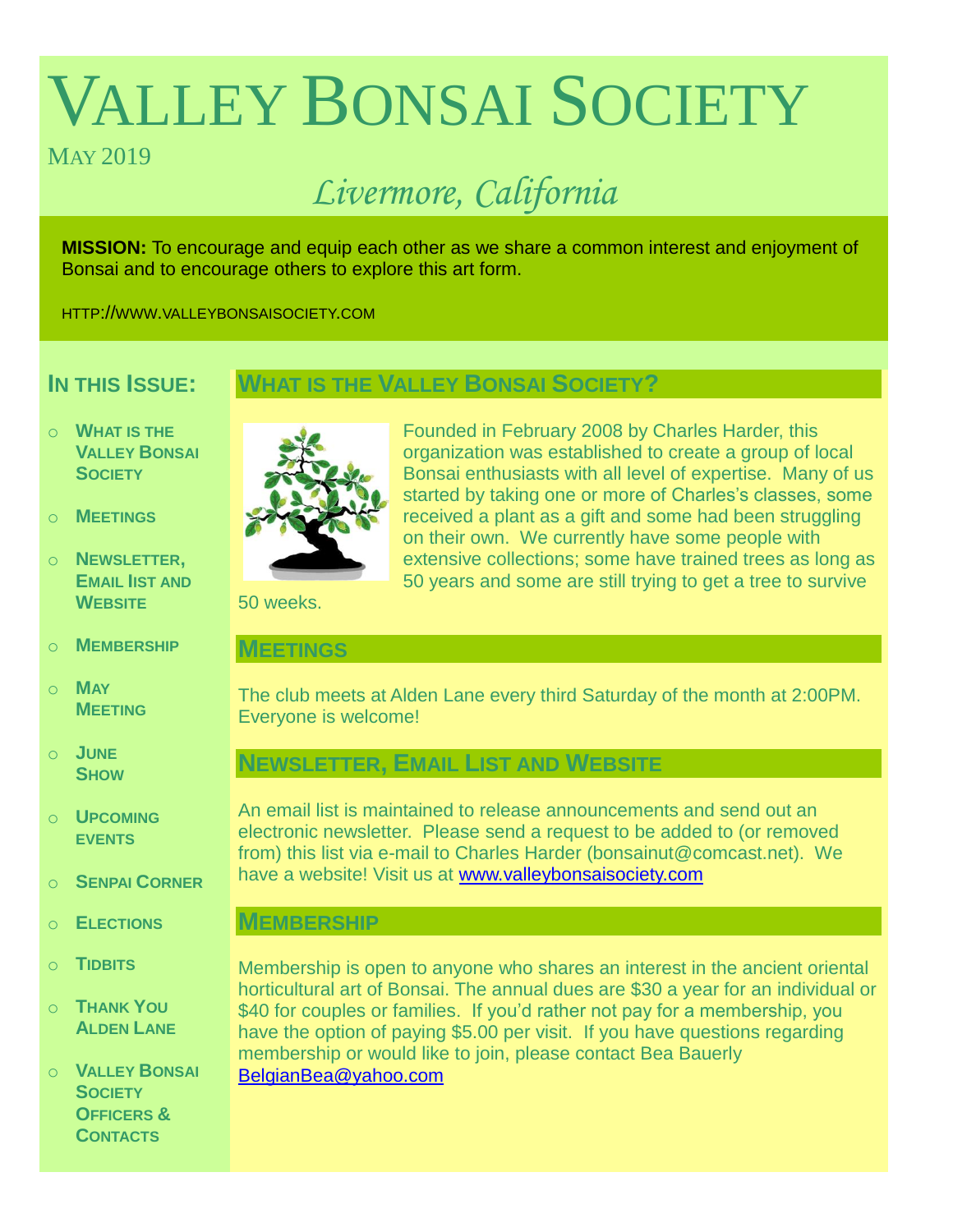# VALLEY BONSAI SOCIETY

# MAY 2019

# *Livermore, California*

**MISSION:** To encourage and equip each other as we share a common interest and enjoyment of Bonsai and to encourage others to explore this art form.

HTTP://WWW.VALLEYBONSAISOCIETY.COM

# **IN THIS ISSUE:**

# **WHAT IS THE VALLEY BONSAI SOCIETY?**

- o **WHAT IS THE VALLEY BONSAI SOCIETY**
- o **MEETINGS**
- o **NEWSLETTER, EMAIL IIST AND WEBSITE**
- o **MEMBERSHIP**
- o **MAY MEETING**
- o **JUNE SHOW**
- o **UPCOMING EVENTS**
- o **SENPAI CORNER**
- o **ELECTIONS**
- o **TIDBITS**
- o **THANK YOU ALDEN LANE**

o **VALLEY BONSAI SOCIETY OFFICERS & CONTACTS**



Founded in February 2008 by Charles Harder, this organization was established to create a group of local Bonsai enthusiasts with all level of expertise. Many of us started by taking one or more of Charles's classes, some received a plant as a gift and some had been struggling on their own. We currently have some people with extensive collections; some have trained trees as long as 50 years and some are still trying to get a tree to survive

50 weeks.

# **MEETINGS**

The club meets at Alden Lane every third Saturday of the month at 2:00PM. Everyone is welcome!

# **NEWSLETTER, EMAIL LIST AND WEBSITE**

An email list is maintained to release announcements and send out an electronic newsletter. Please send a request to be added to (or removed from) this list via e-mail to Charles Harder (bonsainut@comcast.net). We have a website! Visit us at [www.valleybonsaisociety.com](http://www.valleybonsaisociety.com/)

# **MEMBERSHIP**

Membership is open to anyone who shares an interest in the ancient oriental horticultural art of Bonsai. The annual dues are \$30 a year for an individual or \$40 for couples or families. If you'd rather not pay for a membership, you have the option of paying \$5.00 per visit. If you have questions regarding membership or would like to join, please contact Bea Bauerly [BelgianBea@yahoo.com](mailto:BelgianBea@yahoo.com)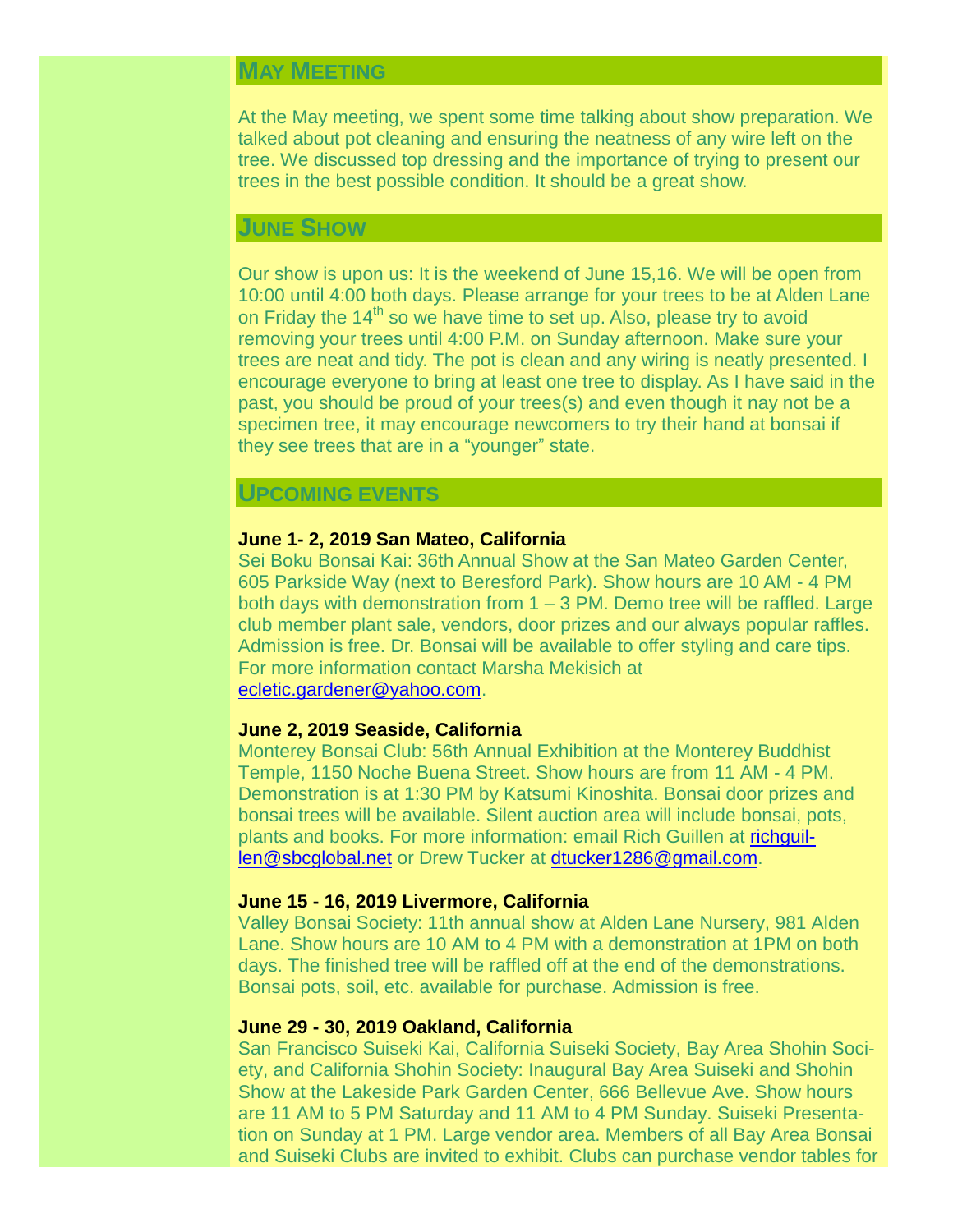# **MAY MEETING**

At the May meeting, we spent some time talking about show preparation. We talked about pot cleaning and ensuring the neatness of any wire left on the tree. We discussed top dressing and the importance of trying to present our trees in the best possible condition. It should be a great show.

#### **JUNE SHOW**

Our show is upon us: It is the weekend of June 15,16. We will be open from 10:00 until 4:00 both days. Please arrange for your trees to be at Alden Lane on Friday the  $14<sup>th</sup>$  so we have time to set up. Also, please try to avoid removing your trees until 4:00 P.M. on Sunday afternoon. Make sure your trees are neat and tidy. The pot is clean and any wiring is neatly presented. I encourage everyone to bring at least one tree to display. As I have said in the past, you should be proud of your trees(s) and even though it nay not be a specimen tree, it may encourage newcomers to try their hand at bonsai if they see trees that are in a "younger" state.

#### **UPCOMING EVENTS**

#### **June 1- 2, 2019 San Mateo, California**

Sei Boku Bonsai Kai: 36th Annual Show at the San Mateo Garden Center, 605 Parkside Way (next to Beresford Park). Show hours are 10 AM - 4 PM both days with demonstration from 1 – 3 PM. Demo tree will be raffled. Large club member plant sale, vendors, door prizes and our always popular raffles. Admission is free. Dr. Bonsai will be available to offer styling and care tips. For more information contact Marsha Mekisich at [ecletic.gardener@yahoo.com.](mailto:ecletic.gardener@yahoo.com)

#### **June 2, 2019 Seaside, California**

Monterey Bonsai Club: 56th Annual Exhibition at the Monterey Buddhist Temple, 1150 Noche Buena Street. Show hours are from 11 AM - 4 PM. Demonstration is at 1:30 PM by Katsumi Kinoshita. Bonsai door prizes and bonsai trees will be available. Silent auction area will include bonsai, pots, plants and books. For more information: email Rich Guillen at [richguil](mailto:richguillen@sbcglobal.net)[len@sbcglobal.net](mailto:richguillen@sbcglobal.net) or Drew Tucker at [dtucker1286@gmail.com.](mailto:dtucker1286@gmail.com)

#### **June 15 - 16, 2019 Livermore, California**

Valley Bonsai Society: 11th annual show at Alden Lane Nursery, 981 Alden Lane. Show hours are 10 AM to 4 PM with a demonstration at 1PM on both days. The finished tree will be raffled off at the end of the demonstrations. Bonsai pots, soil, etc. available for purchase. Admission is free.

#### **June 29 - 30, 2019 Oakland, California**

San Francisco Suiseki Kai, California Suiseki Society, Bay Area Shohin Society, and California Shohin Society: Inaugural Bay Area Suiseki and Shohin Show at the Lakeside Park Garden Center, 666 Bellevue Ave. Show hours are 11 AM to 5 PM Saturday and 11 AM to 4 PM Sunday. Suiseki Presentation on Sunday at 1 PM. Large vendor area. Members of all Bay Area Bonsai and Suiseki Clubs are invited to exhibit. Clubs can purchase vendor tables for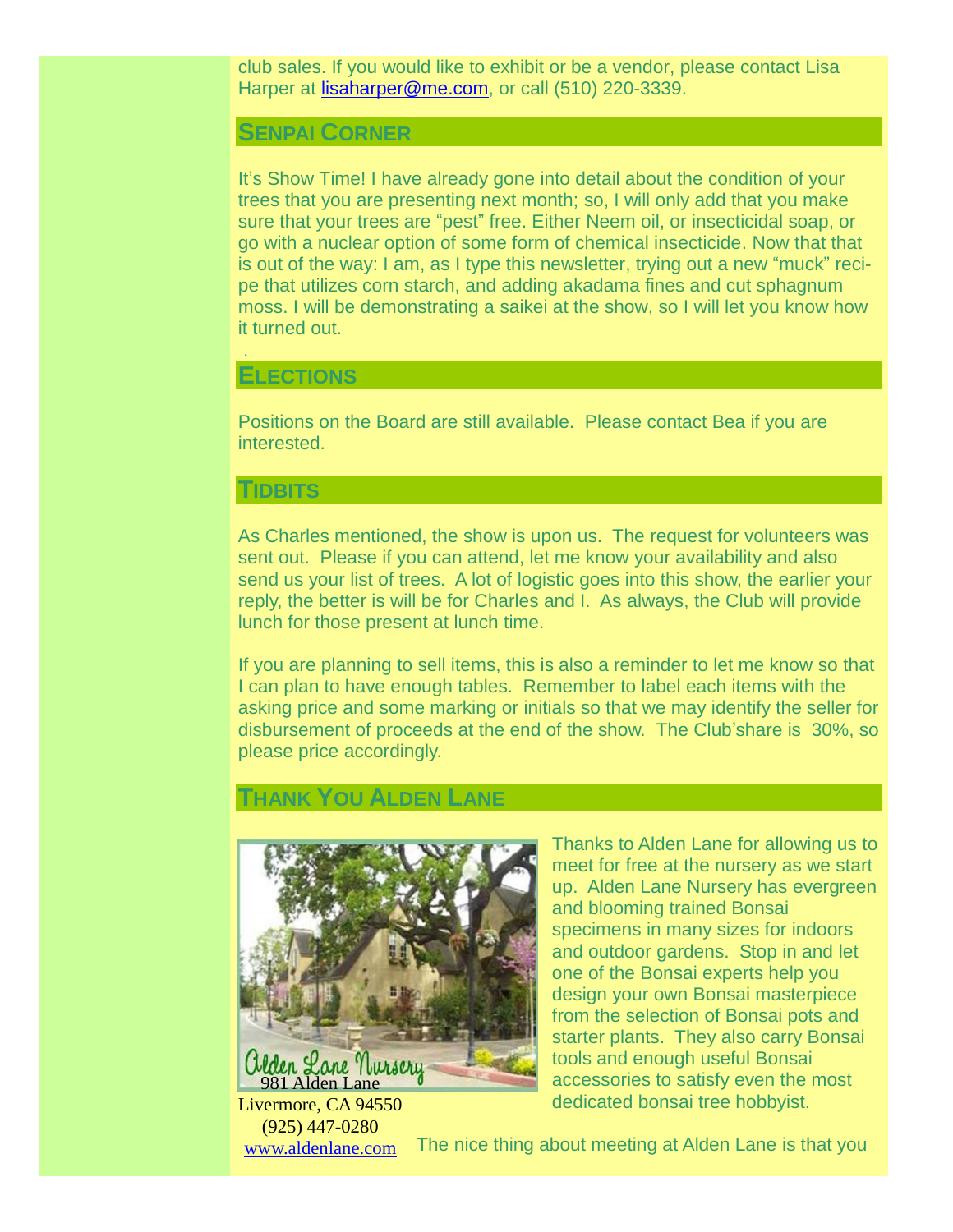club sales. If you would like to exhibit or be a vendor, please contact Lisa Harper at [lisaharper@me.com,](mailto:lisaharper@me.com) or call (510) 220-3339.

#### **SENPAI CORNER**

It's Show Time! I have already gone into detail about the condition of your trees that you are presenting next month; so, I will only add that you make sure that your trees are "pest" free. Either Neem oil, or insecticidal soap, or go with a nuclear option of some form of chemical insecticide. Now that that is out of the way: I am, as I type this newsletter, trying out a new "muck" recipe that utilizes corn starch, and adding akadama fines and cut sphagnum moss. I will be demonstrating a saikei at the show, so I will let you know how it turned out.

#### **ELECTIONS**

.

Positions on the Board are still available. Please contact Bea if you are interested.

### **TIDBITS**

As Charles mentioned, the show is upon us. The request for volunteers was sent out. Please if you can attend, let me know your availability and also send us your list of trees. A lot of logistic goes into this show, the earlier your reply, the better is will be for Charles and I. As always, the Club will provide lunch for those present at lunch time.

If you are planning to sell items, this is also a reminder to let me know so that I can plan to have enough tables. Remember to label each items with the asking price and some marking or initials so that we may identify the seller for disbursement of proceeds at the end of the show. The Club'share is 30%, so please price accordingly.

# **THANK YOU ALDEN LANE**



Livermore, CA 94550 (925) 447-0280 [www.aldenlane.com](http://www.aldenlane.com/)

Thanks to Alden Lane for allowing us to meet for free at the nursery as we start up. Alden Lane Nursery has evergreen and blooming trained Bonsai specimens in many sizes for indoors and outdoor gardens. Stop in and let one of the Bonsai experts help you design your own Bonsai masterpiece from the selection of Bonsai pots and starter plants. They also carry Bonsai tools and enough useful Bonsai accessories to satisfy even the most dedicated bonsai tree hobbyist.

The nice thing about meeting at Alden Lane is that you